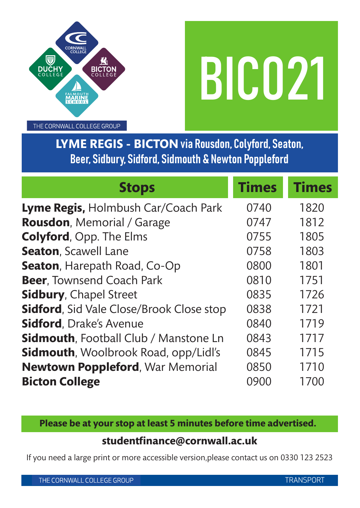

THE CORNWALL COLLEGE GROUP

**LYME REGIS - BICTON** via Rousdon, Colyford, Seaton, Beer, Sidbury, Sidford, Sidmouth & Newton Poppleford

| <b>Stops</b>                                     | <b>Times</b> | <b>Times</b> |
|--------------------------------------------------|--------------|--------------|
| Lyme Regis, Holmbush Car/Coach Park              | 0740         | 1820         |
| <b>Rousdon, Memorial / Garage</b>                | 0747         | 1812         |
| <b>Colyford, Opp. The Elms</b>                   | 0755         | 1805         |
| <b>Seaton, Scawell Lane</b>                      | 0758         | 1803         |
| <b>Seaton, Harepath Road, Co-Op</b>              | 0800         | 1801         |
| Beer, Townsend Coach Park                        | 0810         | 1751         |
| <b>Sidbury, Chapel Street</b>                    | 0835         | 1726         |
| <b>Sidford</b> , Sid Vale Close/Brook Close stop | 0838         | 1721         |
| <b>Sidford</b> , Drake's Avenue                  | 0840         | 1719         |
| <b>Sidmouth, Football Club / Manstone Ln</b>     | 0843         | 1717         |
| <b>Sidmouth, Woolbrook Road, opp/Lidl's</b>      | 0845         | 1715         |
| <b>Newtown Poppleford, War Memorial</b>          | 0850         | 1710         |
| <b>Bicton College</b>                            | 0900         | 1700         |

**Please be at your stop at least 5 minutes before time advertised.**

## **studentfinance@cornwall.ac.uk**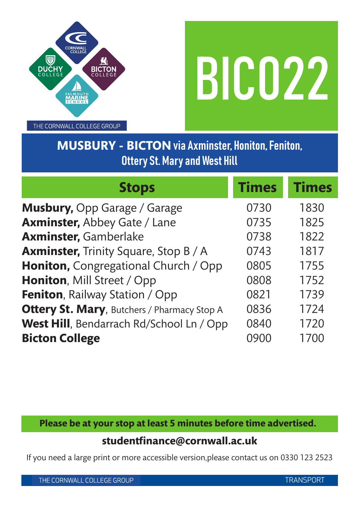



THE CORNWALL COLLEGE GROUP

# **MUSBURY - BICTON** via Axminster, Honiton, Feniton, Ottery St. Mary and West Hill

| <b>Stops</b>                                        | <b>Times</b> | <b>Times</b> |
|-----------------------------------------------------|--------------|--------------|
| <b>Musbury, Opp Garage / Garage</b>                 | 0730         | 1830         |
| <b>Axminster, Abbey Gate / Lane</b>                 | 0735         | 1825         |
| <b>Axminster, Gamberlake</b>                        | 0738         | 1822         |
| <b>Axminster, Trinity Square, Stop B/A</b>          | 0743         | 1817         |
| Honiton, Congregational Church / Opp                | 0805         | 1755         |
| Honiton, Mill Street / Opp                          | 0808         | 1752         |
| <b>Feniton, Railway Station / Opp</b>               | 0821         | 1739         |
| <b>Ottery St. Mary</b> , Butchers / Pharmacy Stop A | 0836         | 1724         |
| West Hill, Bendarrach Rd/School Ln / Opp            | 0840         | 1720         |
| <b>Bicton College</b>                               |              | 1700         |

**Please be at your stop at least 5 minutes before time advertised.**

### **studentfinance@cornwall.ac.uk**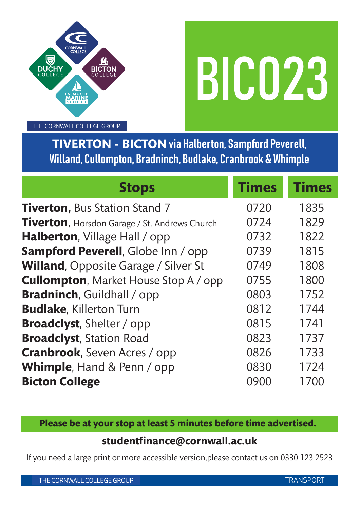

THE CORNWALL COLLEGE GROUP

**TIVERTON - BICTON** via Halberton, Sampford Peverell, Willand, Cullompton, Bradninch, Budlake, Cranbrook & Whimple

| <b>Stops</b>                                          | <b>Times</b> | <b>Times</b> |
|-------------------------------------------------------|--------------|--------------|
| <b>Tiverton, Bus Station Stand 7</b>                  | 0720         | 1835         |
| <b>Tiverton</b> , Horsdon Garage / St. Andrews Church | 0724         | 1829         |
| <b>Halberton, Village Hall / opp</b>                  | 0732         | 1822         |
| Sampford Peverell, Globe Inn / opp                    | 0739         | 1815         |
| <b>Willand, Opposite Garage / Silver St</b>           | 0749         | 1808         |
| <b>Cullompton, Market House Stop A / opp</b>          | 0755         | 1800         |
| <b>Bradninch</b> , Guildhall / opp                    | 0803         | 1752         |
| <b>Budlake, Killerton Turn</b>                        | 0812         | 1744         |
| <b>Broadclyst</b> , Shelter / opp                     | 0815         | 1741         |
| <b>Broadclyst</b> , Station Road                      | 0823         | 1737         |
| <b>Cranbrook, Seven Acres / opp</b>                   | 0826         | 1733         |
| Whimple, Hand & Penn / opp                            | 0830         | 1724         |
| <b>Bicton College</b>                                 | 0900         | 1700         |

**Please be at your stop at least 5 minutes before time advertised.**

### **studentfinance@cornwall.ac.uk**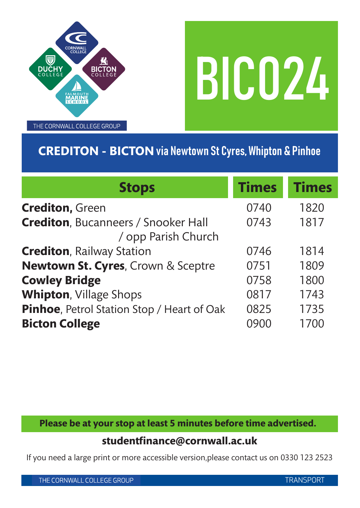

THE CORNWALL COLLEGE GROUP

# **CREDITON - BICTON** via Newtown St Cyres, Whipton & Pinhoe

| <b>Stops</b>                                                        | <b>Times</b> | <b>Times</b> |
|---------------------------------------------------------------------|--------------|--------------|
| <b>Crediton, Green</b>                                              | 0740         | 1820         |
| <b>Crediton, Bucanneers / Snooker Hall</b><br>/ opp Parish Church   | 0743         | 1817         |
| <b>Crediton, Railway Station</b>                                    | 0746         | 1814         |
| Newtown St. Cyres, Crown & Sceptre                                  | 0751         | 1809         |
| <b>Cowley Bridge</b>                                                | 0758         | 1800         |
| <b>Whipton, Village Shops</b>                                       | 0817         | 1743         |
| Pinhoe, Petrol Station Stop / Heart of Oak<br><b>Bicton College</b> | 0825         | 1735<br>1700 |

**Please be at your stop at least 5 minutes before time advertised.**

### **studentfinance@cornwall.ac.uk**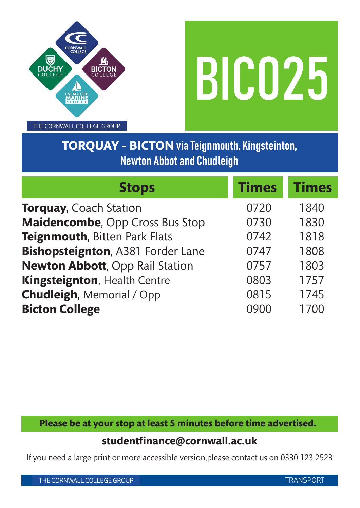

THE CORNWALL COLLEGE GROUP

# **TORQUAY - BICTON** via Teignmouth, Kingsteinton, Newton Abbot and Chudleigh

| <b>Stops</b>                           | <b>Times</b> | <b>Times</b> |
|----------------------------------------|--------------|--------------|
| <b>Torquay, Coach Station</b>          | 0720         | 1840         |
| Maidencombe, Opp Cross Bus Stop        | 0730         | 1830         |
| Teignmouth, Bitten Park Flats          | 0742         | 1818         |
| Bishopsteignton, A381 Forder Lane      | 0747         | 1808         |
| <b>Newton Abbott, Opp Rail Station</b> | 0757         | 1803         |
| Kingsteignton, Health Centre           | 0803         | 1757         |
| <b>Chudleigh, Memorial / Opp</b>       | 0815         | 1745         |
| <b>Bicton College</b>                  | 0900         | 1700         |

**Please be at your stop at least 5 minutes before time advertised.**

## **studentfinance@cornwall.ac.uk**